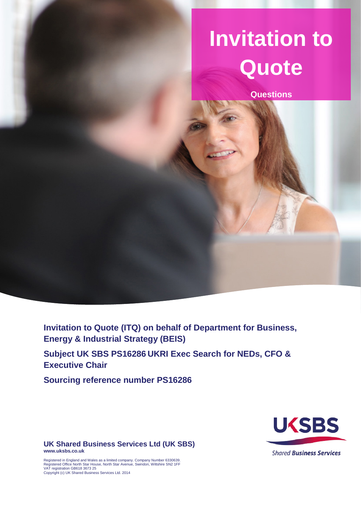# **Invitation to Quote**

**Questions**

**Invitation to Quote (ITQ) on behalf of Department for Business, Energy & Industrial Strategy (BEIS)**

**Subject UK SBS PS16286 UKRI Exec Search for NEDs, CFO & Executive Chair**

**Sourcing reference number PS16286**



**UK Shared Business Services Ltd (UK SBS) www.uksbs.co.uk**

Registered in England and Wales as a limited company. Company Number 6330639. Registered Office North Star House, North Star Avenue, Swindon, Wiltshire SN2 1FF VAT registration GB618 3673 25 Copyright (c) UK Shared Business Services Ltd. 2014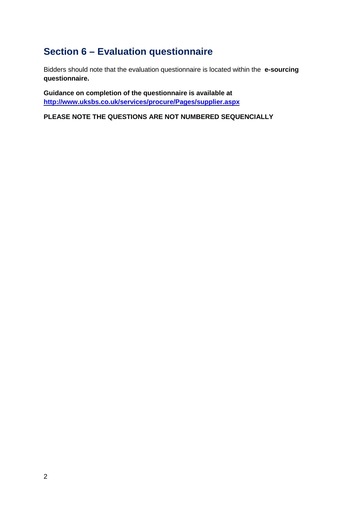## **Section 6 – Evaluation questionnaire**

Bidders should note that the evaluation questionnaire is located within the **e-sourcing questionnaire.**

**Guidance on completion of the questionnaire is available at <http://www.uksbs.co.uk/services/procure/Pages/supplier.aspx>**

**PLEASE NOTE THE QUESTIONS ARE NOT NUMBERED SEQUENCIALLY**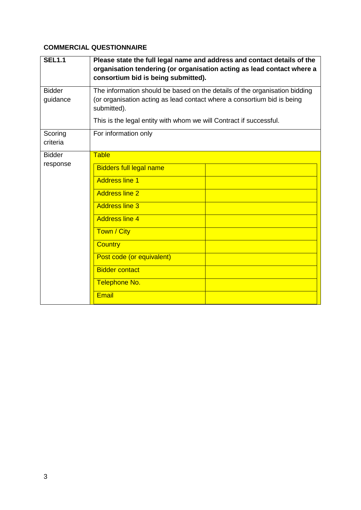#### **COMMERCIAL QUESTIONNAIRE**

| <b>SEL1.1</b>             | Please state the full legal name and address and contact details of the<br>organisation tendering (or organisation acting as lead contact where a<br>consortium bid is being submitted).                                                                            |  |  |
|---------------------------|---------------------------------------------------------------------------------------------------------------------------------------------------------------------------------------------------------------------------------------------------------------------|--|--|
| <b>Bidder</b><br>guidance | The information should be based on the details of the organisation bidding<br>(or organisation acting as lead contact where a consortium bid is being<br>submitted).<br>This is the legal entity with whom we will Contract if successful.                          |  |  |
| Scoring<br>criteria       | For information only                                                                                                                                                                                                                                                |  |  |
| <b>Bidder</b><br>response | <b>Table</b><br><b>Bidders full legal name</b><br><b>Address line 1</b><br><b>Address line 2</b><br><b>Address line 3</b><br><b>Address line 4</b><br>Town / City<br><b>Country</b><br>Post code (or equivalent)<br><b>Bidder contact</b><br>Telephone No.<br>Email |  |  |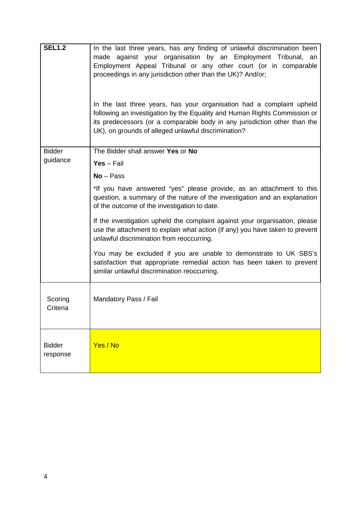| <b>SEL1.2</b>             | In the last three years, has any finding of unlawful discrimination been<br>made against your organisation by an Employment Tribunal, an<br>Employment Appeal Tribunal or any other court (or in comparable<br>proceedings in any jurisdiction other than the UK)? And/or;<br>In the last three years, has your organisation had a complaint upheld<br>following an investigation by the Equality and Human Rights Commission or<br>its predecessors (or a comparable body in any jurisdiction other than the<br>UK), on grounds of alleged unlawful discrimination? |  |
|---------------------------|----------------------------------------------------------------------------------------------------------------------------------------------------------------------------------------------------------------------------------------------------------------------------------------------------------------------------------------------------------------------------------------------------------------------------------------------------------------------------------------------------------------------------------------------------------------------|--|
| <b>Bidder</b>             | The Bidder shall answer Yes or No                                                                                                                                                                                                                                                                                                                                                                                                                                                                                                                                    |  |
| guidance                  | $Yes - Fair$                                                                                                                                                                                                                                                                                                                                                                                                                                                                                                                                                         |  |
|                           | $No - Pass$                                                                                                                                                                                                                                                                                                                                                                                                                                                                                                                                                          |  |
|                           | *If you have answered "yes" please provide, as an attachment to this<br>question, a summary of the nature of the investigation and an explanation<br>of the outcome of the investigation to date.                                                                                                                                                                                                                                                                                                                                                                    |  |
|                           | If the investigation upheld the complaint against your organisation, please<br>use the attachment to explain what action (if any) you have taken to prevent<br>unlawful discrimination from reoccurring.                                                                                                                                                                                                                                                                                                                                                             |  |
|                           | You may be excluded if you are unable to demonstrate to UK SBS's<br>satisfaction that appropriate remedial action has been taken to prevent<br>similar unlawful discrimination reoccurring.                                                                                                                                                                                                                                                                                                                                                                          |  |
| Scoring<br>Criteria       | Mandatory Pass / Fail                                                                                                                                                                                                                                                                                                                                                                                                                                                                                                                                                |  |
| <b>Bidder</b><br>response | Yes / No                                                                                                                                                                                                                                                                                                                                                                                                                                                                                                                                                             |  |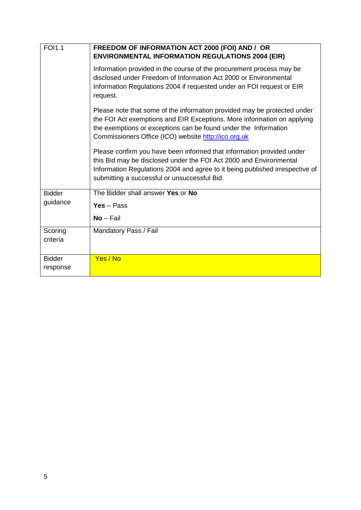| <b>FOI1.1</b> | FREEDOM OF INFORMATION ACT 2000 (FOI) AND / OR<br><b>ENVIRONMENTAL INFORMATION REGULATIONS 2004 (EIR)</b>                                                                                                                                                                      |  |  |
|---------------|--------------------------------------------------------------------------------------------------------------------------------------------------------------------------------------------------------------------------------------------------------------------------------|--|--|
|               | Information provided in the course of the procurement process may be<br>disclosed under Freedom of Information Act 2000 or Environmental<br>Information Regulations 2004 if requested under an FOI request or EIR<br>request.                                                  |  |  |
|               | Please note that some of the information provided may be protected under<br>the FOI Act exemptions and EIR Exceptions. More information on applying<br>the exemptions or exceptions can be found under the Information<br>Commissioners Office (ICO) website http://ico.org.uk |  |  |
|               | Please confirm you have been informed that information provided under<br>this Bid may be disclosed under the FOI Act 2000 and Environmental<br>Information Regulations 2004 and agree to it being published irrespective of<br>submitting a successful or unsuccessful Bid.    |  |  |
| <b>Bidder</b> | The Bidder shall answer Yes or No                                                                                                                                                                                                                                              |  |  |
| guidance      | $Yes - Pass$                                                                                                                                                                                                                                                                   |  |  |
|               | $No-Fail$                                                                                                                                                                                                                                                                      |  |  |
| Scoring       | Mandatory Pass / Fail                                                                                                                                                                                                                                                          |  |  |
| criteria      |                                                                                                                                                                                                                                                                                |  |  |
| <b>Bidder</b> | Yes / No                                                                                                                                                                                                                                                                       |  |  |
| response      |                                                                                                                                                                                                                                                                                |  |  |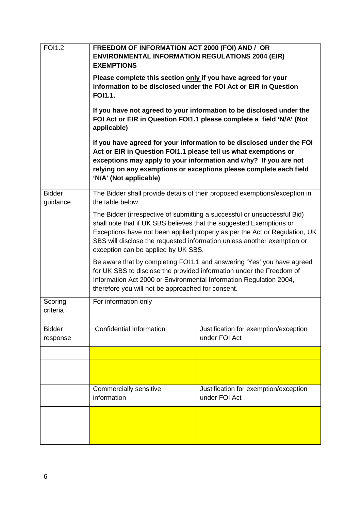| <b>FOI1.2</b>             | FREEDOM OF INFORMATION ACT 2000 (FOI) AND / OR<br><b>ENVIRONMENTAL INFORMATION REGULATIONS 2004 (EIR)</b><br><b>EXEMPTIONS</b><br>Please complete this section only if you have agreed for your<br>information to be disclosed under the FOI Act or EIR in Question<br><b>FOI1.1.</b><br>If you have not agreed to your information to be disclosed under the<br>FOI Act or EIR in Question FOI1.1 please complete a field 'N/A' (Not<br>applicable)<br>If you have agreed for your information to be disclosed under the FOI<br>Act or EIR in Question FOI1.1 please tell us what exemptions or<br>exceptions may apply to your information and why? If you are not<br>relying on any exemptions or exceptions please complete each field<br>'N/A' (Not applicable) |                                                        |  |
|---------------------------|----------------------------------------------------------------------------------------------------------------------------------------------------------------------------------------------------------------------------------------------------------------------------------------------------------------------------------------------------------------------------------------------------------------------------------------------------------------------------------------------------------------------------------------------------------------------------------------------------------------------------------------------------------------------------------------------------------------------------------------------------------------------|--------------------------------------------------------|--|
|                           |                                                                                                                                                                                                                                                                                                                                                                                                                                                                                                                                                                                                                                                                                                                                                                      |                                                        |  |
|                           |                                                                                                                                                                                                                                                                                                                                                                                                                                                                                                                                                                                                                                                                                                                                                                      |                                                        |  |
|                           |                                                                                                                                                                                                                                                                                                                                                                                                                                                                                                                                                                                                                                                                                                                                                                      |                                                        |  |
| <b>Bidder</b><br>guidance | The Bidder shall provide details of their proposed exemptions/exception in<br>the table below.                                                                                                                                                                                                                                                                                                                                                                                                                                                                                                                                                                                                                                                                       |                                                        |  |
|                           | The Bidder (irrespective of submitting a successful or unsuccessful Bid)<br>shall note that if UK SBS believes that the suggested Exemptions or<br>Exceptions have not been applied properly as per the Act or Regulation, UK<br>SBS will disclose the requested information unless another exemption or<br>exception can be applied by UK SBS.                                                                                                                                                                                                                                                                                                                                                                                                                      |                                                        |  |
|                           | Be aware that by completing FOI1.1 and answering 'Yes' you have agreed<br>for UK SBS to disclose the provided information under the Freedom of<br>Information Act 2000 or Environmental Information Regulation 2004,<br>therefore you will not be approached for consent.                                                                                                                                                                                                                                                                                                                                                                                                                                                                                            |                                                        |  |
| Scoring<br>criteria       | For information only                                                                                                                                                                                                                                                                                                                                                                                                                                                                                                                                                                                                                                                                                                                                                 |                                                        |  |
| <b>Bidder</b><br>response | <b>Confidential Information</b>                                                                                                                                                                                                                                                                                                                                                                                                                                                                                                                                                                                                                                                                                                                                      | Justification for exemption/exception<br>under FOI Act |  |
|                           |                                                                                                                                                                                                                                                                                                                                                                                                                                                                                                                                                                                                                                                                                                                                                                      |                                                        |  |
|                           |                                                                                                                                                                                                                                                                                                                                                                                                                                                                                                                                                                                                                                                                                                                                                                      |                                                        |  |
|                           |                                                                                                                                                                                                                                                                                                                                                                                                                                                                                                                                                                                                                                                                                                                                                                      |                                                        |  |
|                           | Commercially sensitive<br>information                                                                                                                                                                                                                                                                                                                                                                                                                                                                                                                                                                                                                                                                                                                                | Justification for exemption/exception<br>under FOI Act |  |
|                           |                                                                                                                                                                                                                                                                                                                                                                                                                                                                                                                                                                                                                                                                                                                                                                      |                                                        |  |
|                           |                                                                                                                                                                                                                                                                                                                                                                                                                                                                                                                                                                                                                                                                                                                                                                      |                                                        |  |
|                           |                                                                                                                                                                                                                                                                                                                                                                                                                                                                                                                                                                                                                                                                                                                                                                      |                                                        |  |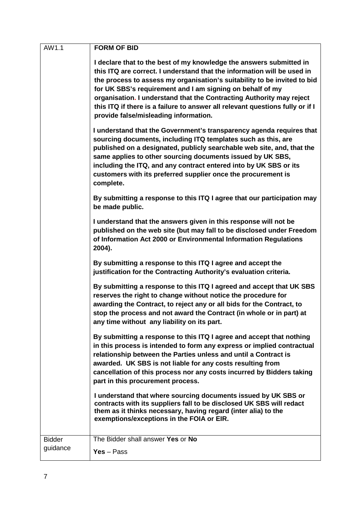| AW1.1         | <b>FORM OF BID</b>                                                                                                                                                                                                                                                                                                                                                                                                                                                                        |
|---------------|-------------------------------------------------------------------------------------------------------------------------------------------------------------------------------------------------------------------------------------------------------------------------------------------------------------------------------------------------------------------------------------------------------------------------------------------------------------------------------------------|
|               | I declare that to the best of my knowledge the answers submitted in<br>this ITQ are correct. I understand that the information will be used in<br>the process to assess my organisation's suitability to be invited to bid<br>for UK SBS's requirement and I am signing on behalf of my<br>organisation. I understand that the Contracting Authority may reject<br>this ITQ if there is a failure to answer all relevant questions fully or if I<br>provide false/misleading information. |
|               | I understand that the Government's transparency agenda requires that<br>sourcing documents, including ITQ templates such as this, are<br>published on a designated, publicly searchable web site, and, that the<br>same applies to other sourcing documents issued by UK SBS,<br>including the ITQ, and any contract entered into by UK SBS or its<br>customers with its preferred supplier once the procurement is<br>complete.                                                          |
|               | By submitting a response to this ITQ I agree that our participation may<br>be made public.                                                                                                                                                                                                                                                                                                                                                                                                |
|               | I understand that the answers given in this response will not be<br>published on the web site (but may fall to be disclosed under Freedom<br>of Information Act 2000 or Environmental Information Regulations<br>2004).                                                                                                                                                                                                                                                                   |
|               | By submitting a response to this ITQ I agree and accept the<br>justification for the Contracting Authority's evaluation criteria.                                                                                                                                                                                                                                                                                                                                                         |
|               | By submitting a response to this ITQ I agreed and accept that UK SBS<br>reserves the right to change without notice the procedure for<br>awarding the Contract, to reject any or all bids for the Contract, to<br>stop the process and not award the Contract (in whole or in part) at<br>any time without any liability on its part.                                                                                                                                                     |
|               | By submitting a response to this ITQ I agree and accept that nothing<br>in this process is intended to form any express or implied contractual<br>relationship between the Parties unless and until a Contract is<br>awarded. UK SBS is not liable for any costs resulting from<br>cancellation of this process nor any costs incurred by Bidders taking<br>part in this procurement process.                                                                                             |
|               | I understand that where sourcing documents issued by UK SBS or<br>contracts with its suppliers fall to be disclosed UK SBS will redact<br>them as it thinks necessary, having regard (inter alia) to the<br>exemptions/exceptions in the FOIA or EIR.                                                                                                                                                                                                                                     |
| <b>Bidder</b> | The Bidder shall answer Yes or No                                                                                                                                                                                                                                                                                                                                                                                                                                                         |
| guidance      | $Yes - Pass$                                                                                                                                                                                                                                                                                                                                                                                                                                                                              |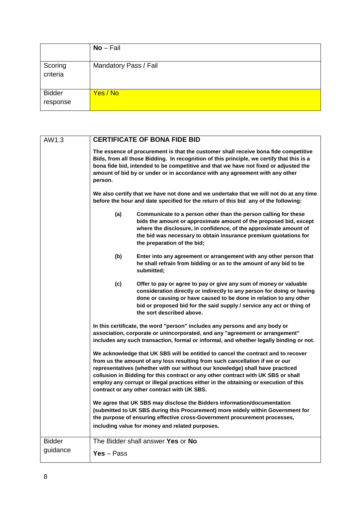|                           | $No-Fail$             |
|---------------------------|-----------------------|
| Scoring<br>criteria       | Mandatory Pass / Fail |
| <b>Bidder</b><br>response | Yes / No              |

| AW1.3         | <b>CERTIFICATE OF BONA FIDE BID</b>                                                                                                                                                                                                                                                                                                                                                                                                                                                                                                                                                                                                                                                                                                     |  |  |  |
|---------------|-----------------------------------------------------------------------------------------------------------------------------------------------------------------------------------------------------------------------------------------------------------------------------------------------------------------------------------------------------------------------------------------------------------------------------------------------------------------------------------------------------------------------------------------------------------------------------------------------------------------------------------------------------------------------------------------------------------------------------------------|--|--|--|
|               | The essence of procurement is that the customer shall receive bona fide competitive<br>Bids, from all those Bidding. In recognition of this principle, we certify that this is a<br>bona fide bid, intended to be competitive and that we have not fixed or adjusted the<br>amount of bid by or under or in accordance with any agreement with any other<br>person.                                                                                                                                                                                                                                                                                                                                                                     |  |  |  |
|               | We also certify that we have not done and we undertake that we will not do at any time<br>before the hour and date specified for the return of this bid any of the following:                                                                                                                                                                                                                                                                                                                                                                                                                                                                                                                                                           |  |  |  |
|               | (a)<br>Communicate to a person other than the person calling for these<br>bids the amount or approximate amount of the proposed bid, except<br>where the disclosure, in confidence, of the approximate amount of<br>the bid was necessary to obtain insurance premium quotations for<br>the preparation of the bid;                                                                                                                                                                                                                                                                                                                                                                                                                     |  |  |  |
|               | (b)<br>Enter into any agreement or arrangement with any other person that<br>he shall refrain from bidding or as to the amount of any bid to be<br>submitted;                                                                                                                                                                                                                                                                                                                                                                                                                                                                                                                                                                           |  |  |  |
|               | (c)<br>Offer to pay or agree to pay or give any sum of money or valuable<br>consideration directly or indirectly to any person for doing or having<br>done or causing or have caused to be done in relation to any other<br>bid or proposed bid for the said supply / service any act or thing of<br>the sort described above.                                                                                                                                                                                                                                                                                                                                                                                                          |  |  |  |
|               | In this certificate, the word "person" includes any persons and any body or<br>association, corporate or unincorporated, and any "agreement or arrangement"<br>includes any such transaction, formal or informal, and whether legally binding or not.<br>We acknowledge that UK SBS will be entitled to cancel the contract and to recover<br>from us the amount of any loss resulting from such cancellation if we or our<br>representatives (whether with our without our knowledge) shall have practiced<br>collusion in Bidding for this contract or any other contract with UK SBS or shall<br>employ any corrupt or illegal practices either in the obtaining or execution of this<br>contract or any other contract with UK SBS. |  |  |  |
|               |                                                                                                                                                                                                                                                                                                                                                                                                                                                                                                                                                                                                                                                                                                                                         |  |  |  |
|               | We agree that UK SBS may disclose the Bidders information/documentation<br>(submitted to UK SBS during this Procurement) more widely within Government for<br>the purpose of ensuring effective cross-Government procurement processes,<br>including value for money and related purposes.                                                                                                                                                                                                                                                                                                                                                                                                                                              |  |  |  |
| <b>Bidder</b> | The Bidder shall answer Yes or No                                                                                                                                                                                                                                                                                                                                                                                                                                                                                                                                                                                                                                                                                                       |  |  |  |
| guidance      | $Yes - Pass$                                                                                                                                                                                                                                                                                                                                                                                                                                                                                                                                                                                                                                                                                                                            |  |  |  |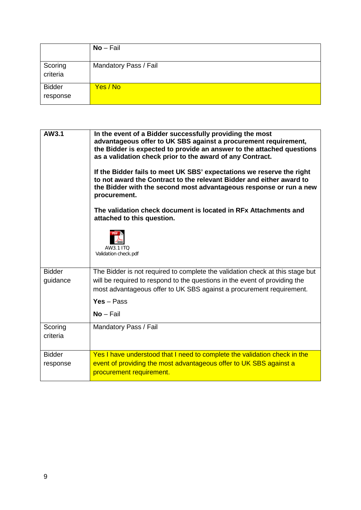|                           | $No-Fail$             |
|---------------------------|-----------------------|
| Scoring<br>criteria       | Mandatory Pass / Fail |
| <b>Bidder</b><br>response | Yes / No              |

| AW3.1                     | In the event of a Bidder successfully providing the most<br>advantageous offer to UK SBS against a procurement requirement,<br>the Bidder is expected to provide an answer to the attached questions<br>as a validation check prior to the award of any Contract.<br>If the Bidder fails to meet UK SBS' expectations we reserve the right<br>to not award the Contract to the relevant Bidder and either award to<br>the Bidder with the second most advantageous response or run a new<br>procurement.<br>The validation check document is located in RFx Attachments and<br>attached to this question.<br>AW3.1 ITO<br>Validation check.pdf |
|---------------------------|------------------------------------------------------------------------------------------------------------------------------------------------------------------------------------------------------------------------------------------------------------------------------------------------------------------------------------------------------------------------------------------------------------------------------------------------------------------------------------------------------------------------------------------------------------------------------------------------------------------------------------------------|
| <b>Bidder</b><br>guidance | The Bidder is not required to complete the validation check at this stage but<br>will be required to respond to the questions in the event of providing the<br>most advantageous offer to UK SBS against a procurement requirement.<br>$Yes - Pass$<br>$No-Fail$                                                                                                                                                                                                                                                                                                                                                                               |
| Scoring<br>criteria       | Mandatory Pass / Fail                                                                                                                                                                                                                                                                                                                                                                                                                                                                                                                                                                                                                          |
| <b>Bidder</b><br>response | Yes I have understood that I need to complete the validation check in the<br>event of providing the most advantageous offer to UK SBS against a<br>procurement requirement.                                                                                                                                                                                                                                                                                                                                                                                                                                                                    |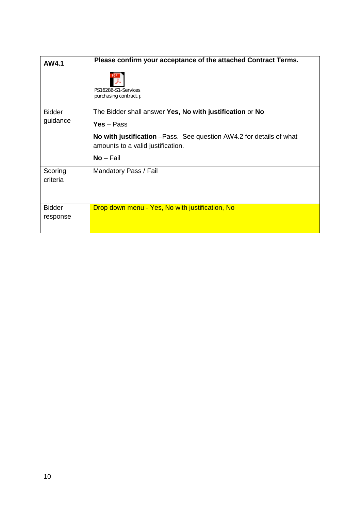| AW4.1                     | Please confirm your acceptance of the attached Contract Terms.<br>PS16286-S1-Services<br>purchasing contract.p |
|---------------------------|----------------------------------------------------------------------------------------------------------------|
| <b>Bidder</b><br>guidance | The Bidder shall answer Yes, No with justification or No<br>$Yes - Pass$                                       |
|                           | No with justification - Pass. See question AW4.2 for details of what<br>amounts to a valid justification.      |
|                           | $No-Fail$                                                                                                      |
| Scoring<br>criteria       | Mandatory Pass / Fail                                                                                          |
| <b>Bidder</b><br>response | Drop down menu - Yes, No with justification, No                                                                |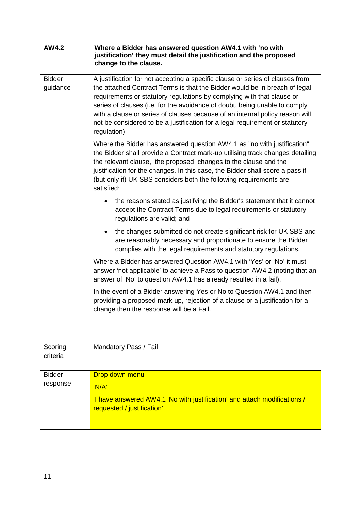| AW4.2                     | Where a Bidder has answered question AW4.1 with 'no with<br>justification' they must detail the justification and the proposed<br>change to the clause.                                                                                                                                                                                                                                                                                                                                             |  |  |
|---------------------------|-----------------------------------------------------------------------------------------------------------------------------------------------------------------------------------------------------------------------------------------------------------------------------------------------------------------------------------------------------------------------------------------------------------------------------------------------------------------------------------------------------|--|--|
| <b>Bidder</b><br>guidance | A justification for not accepting a specific clause or series of clauses from<br>the attached Contract Terms is that the Bidder would be in breach of legal<br>requirements or statutory regulations by complying with that clause or<br>series of clauses (i.e. for the avoidance of doubt, being unable to comply<br>with a clause or series of clauses because of an internal policy reason will<br>not be considered to be a justification for a legal requirement or statutory<br>regulation). |  |  |
|                           | Where the Bidder has answered question AW4.1 as "no with justification",<br>the Bidder shall provide a Contract mark-up utilising track changes detailing<br>the relevant clause, the proposed changes to the clause and the<br>justification for the changes. In this case, the Bidder shall score a pass if<br>(but only if) UK SBS considers both the following requirements are<br>satisfied:                                                                                                   |  |  |
|                           | the reasons stated as justifying the Bidder's statement that it cannot<br>accept the Contract Terms due to legal requirements or statutory<br>regulations are valid; and                                                                                                                                                                                                                                                                                                                            |  |  |
|                           | the changes submitted do not create significant risk for UK SBS and<br>$\bullet$<br>are reasonably necessary and proportionate to ensure the Bidder<br>complies with the legal requirements and statutory regulations.                                                                                                                                                                                                                                                                              |  |  |
|                           | Where a Bidder has answered Question AW4.1 with 'Yes' or 'No' it must<br>answer 'not applicable' to achieve a Pass to question AW4.2 (noting that an<br>answer of 'No' to question AW4.1 has already resulted in a fail).                                                                                                                                                                                                                                                                           |  |  |
|                           | In the event of a Bidder answering Yes or No to Question AW4.1 and then<br>providing a proposed mark up, rejection of a clause or a justification for a<br>change then the response will be a Fail.                                                                                                                                                                                                                                                                                                 |  |  |
| Scoring<br>criteria       | Mandatory Pass / Fail                                                                                                                                                                                                                                                                                                                                                                                                                                                                               |  |  |
| <b>Bidder</b>             | Drop down menu                                                                                                                                                                                                                                                                                                                                                                                                                                                                                      |  |  |
| response                  | 'N/A'                                                                                                                                                                                                                                                                                                                                                                                                                                                                                               |  |  |
|                           | 'I have answered AW4.1 'No with justification' and attach modifications /<br>requested / justification'.                                                                                                                                                                                                                                                                                                                                                                                            |  |  |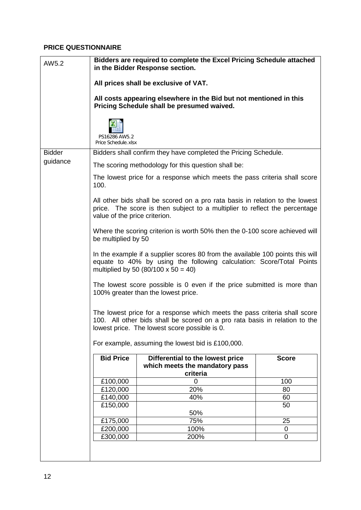#### **PRICE QUESTIONNAIRE**

| AW5.2         | Bidders are required to complete the Excel Pricing Schedule attached<br>in the Bidder Response section.                                                                                                                                                       |                                                                                                                |              |
|---------------|---------------------------------------------------------------------------------------------------------------------------------------------------------------------------------------------------------------------------------------------------------------|----------------------------------------------------------------------------------------------------------------|--------------|
|               | All prices shall be exclusive of VAT.                                                                                                                                                                                                                         |                                                                                                                |              |
|               | All costs appearing elsewhere in the Bid but not mentioned in this<br>Pricing Schedule shall be presumed waived.                                                                                                                                              |                                                                                                                |              |
|               | PS16286 AW5.2<br>Price Schedule.xlsx                                                                                                                                                                                                                          |                                                                                                                |              |
| <b>Bidder</b> | Bidders shall confirm they have completed the Pricing Schedule.                                                                                                                                                                                               |                                                                                                                |              |
| guidance      | The scoring methodology for this question shall be:                                                                                                                                                                                                           |                                                                                                                |              |
|               | The lowest price for a response which meets the pass criteria shall score<br>100.                                                                                                                                                                             |                                                                                                                |              |
|               | All other bids shall be scored on a pro rata basis in relation to the lowest<br>price. The score is then subject to a multiplier to reflect the percentage<br>value of the price criterion.                                                                   |                                                                                                                |              |
|               | Where the scoring criterion is worth 50% then the 0-100 score achieved will<br>be multiplied by 50                                                                                                                                                            |                                                                                                                |              |
|               | In the example if a supplier scores 80 from the available 100 points this will<br>equate to 40% by using the following calculation: Score/Total Points<br>multiplied by 50 (80/100 x 50 = 40)                                                                 |                                                                                                                |              |
|               |                                                                                                                                                                                                                                                               | The lowest score possible is 0 even if the price submitted is more than<br>100% greater than the lowest price. |              |
|               | The lowest price for a response which meets the pass criteria shall score<br>100. All other bids shall be scored on a pro rata basis in relation to the<br>lowest price. The lowest score possible is 0.<br>For example, assuming the lowest bid is £100,000. |                                                                                                                |              |
|               | <b>Bid Price</b>                                                                                                                                                                                                                                              | Differential to the lowest price                                                                               | <b>Score</b> |
|               |                                                                                                                                                                                                                                                               | which meets the mandatory pass<br>criteria                                                                     |              |
|               | £100,000                                                                                                                                                                                                                                                      | 0                                                                                                              | 100          |
|               | £120,000                                                                                                                                                                                                                                                      | 20%                                                                                                            | 80           |
|               | £140,000                                                                                                                                                                                                                                                      | 40%                                                                                                            | 60           |
|               | £150,000                                                                                                                                                                                                                                                      | 50%                                                                                                            | 50           |
|               | £175,000                                                                                                                                                                                                                                                      | 75%                                                                                                            | 25           |
|               | £200,000                                                                                                                                                                                                                                                      | 100%                                                                                                           | 0            |
|               | £300,000                                                                                                                                                                                                                                                      | 200%                                                                                                           | $\Omega$     |
|               |                                                                                                                                                                                                                                                               |                                                                                                                |              |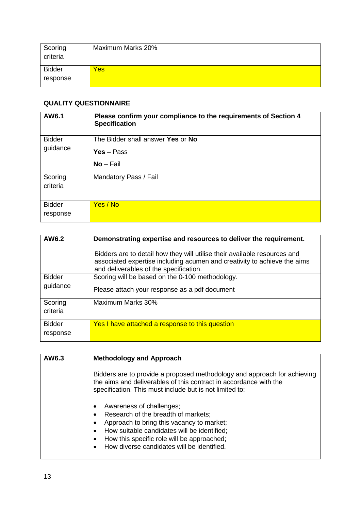| Scoring<br>criteria | Maximum Marks 20% |
|---------------------|-------------------|
| <b>Bidder</b>       | Yes               |
| response            |                   |

### **QUALITY QUESTIONNAIRE**

| AW6.1                     | Please confirm your compliance to the requirements of Section 4<br><b>Specification</b> |
|---------------------------|-----------------------------------------------------------------------------------------|
| <b>Bidder</b><br>guidance | The Bidder shall answer Yes or No                                                       |
|                           | $Yes - Pass$                                                                            |
|                           | $No-Fail$                                                                               |
| Scoring<br>criteria       | Mandatory Pass / Fail                                                                   |
| <b>Bidder</b><br>response | Yes / No                                                                                |

| AW6.2                     | Demonstrating expertise and resources to deliver the requirement.                                                                                                                               |
|---------------------------|-------------------------------------------------------------------------------------------------------------------------------------------------------------------------------------------------|
|                           | Bidders are to detail how they will utilise their available resources and<br>associated expertise including acumen and creativity to achieve the aims<br>and deliverables of the specification. |
| <b>Bidder</b>             | Scoring will be based on the 0-100 methodology.                                                                                                                                                 |
| guidance                  | Please attach your response as a pdf document                                                                                                                                                   |
| Scoring<br>criteria       | Maximum Marks 30%                                                                                                                                                                               |
| <b>Bidder</b><br>response | Yes I have attached a response to this question                                                                                                                                                 |

| AW6.3 | <b>Methodology and Approach</b>                                                                                                                                                                                                                                                        |
|-------|----------------------------------------------------------------------------------------------------------------------------------------------------------------------------------------------------------------------------------------------------------------------------------------|
|       | Bidders are to provide a proposed methodology and approach for achieving<br>the aims and deliverables of this contract in accordance with the<br>specification. This must include but is not limited to:                                                                               |
|       | Awareness of challenges;<br>Research of the breadth of markets;<br>Approach to bring this vacancy to market;<br>$\bullet$<br>How suitable candidates will be identified;<br>$\bullet$<br>How this specific role will be approached;<br>٠<br>How diverse candidates will be identified. |